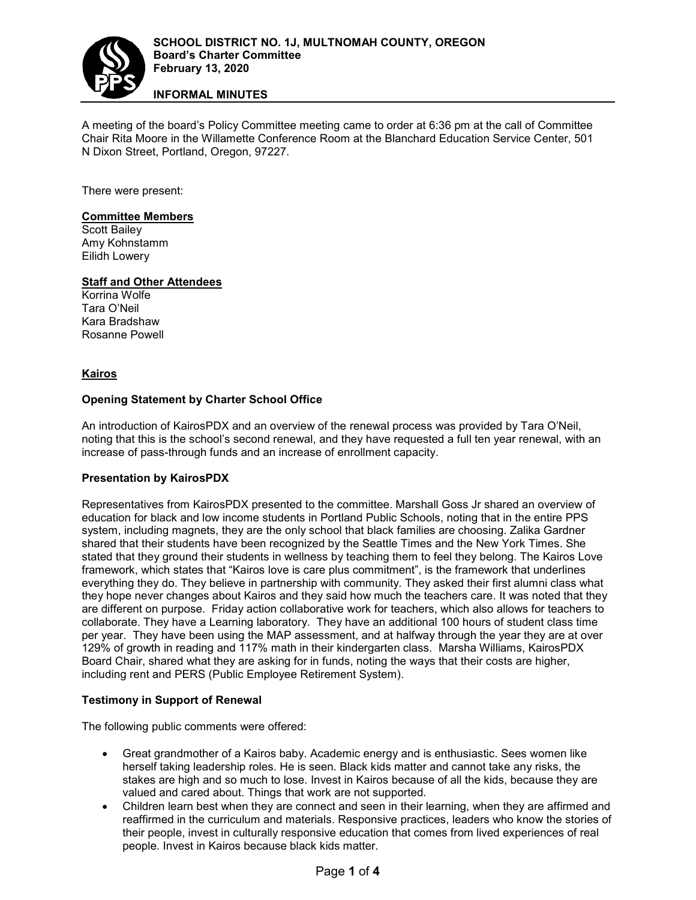

# **INFORMAL MINUTES**

A meeting of the board's Policy Committee meeting came to order at 6:36 pm at the call of Committee Chair Rita Moore in the Willamette Conference Room at the Blanchard Education Service Center, 501 N Dixon Street, Portland, Oregon, 97227.

There were present:

## **Committee Members**

Scott Bailey Amy Kohnstamm Eilidh Lowery

# **Staff and Other Attendees**

Korrina Wolfe Tara O'Neil Kara Bradshaw Rosanne Powell

#### **Kairos**

## **Opening Statement by Charter School Office**

An introduction of KairosPDX and an overview of the renewal process was provided by Tara O'Neil, noting that this is the school's second renewal, and they have requested a full ten year renewal, with an increase of pass-through funds and an increase of enrollment capacity.

## **Presentation by KairosPDX**

Representatives from KairosPDX presented to the committee. Marshall Goss Jr shared an overview of education for black and low income students in Portland Public Schools, noting that in the entire PPS system, including magnets, they are the only school that black families are choosing. Zalika Gardner shared that their students have been recognized by the Seattle Times and the New York Times. She stated that they ground their students in wellness by teaching them to feel they belong. The Kairos Love framework, which states that "Kairos love is care plus commitment", is the framework that underlines everything they do. They believe in partnership with community. They asked their first alumni class what they hope never changes about Kairos and they said how much the teachers care. It was noted that they are different on purpose. Friday action collaborative work for teachers, which also allows for teachers to collaborate. They have a Learning laboratory. They have an additional 100 hours of student class time per year. They have been using the MAP assessment, and at halfway through the year they are at over 129% of growth in reading and 117% math in their kindergarten class. Marsha Williams, KairosPDX Board Chair, shared what they are asking for in funds, noting the ways that their costs are higher, including rent and PERS (Public Employee Retirement System).

#### **Testimony in Support of Renewal**

The following public comments were offered:

- Great grandmother of a Kairos baby. Academic energy and is enthusiastic. Sees women like herself taking leadership roles. He is seen. Black kids matter and cannot take any risks, the stakes are high and so much to lose. Invest in Kairos because of all the kids, because they are valued and cared about. Things that work are not supported.
- Children learn best when they are connect and seen in their learning, when they are affirmed and reaffirmed in the curriculum and materials. Responsive practices, leaders who know the stories of their people, invest in culturally responsive education that comes from lived experiences of real people. Invest in Kairos because black kids matter.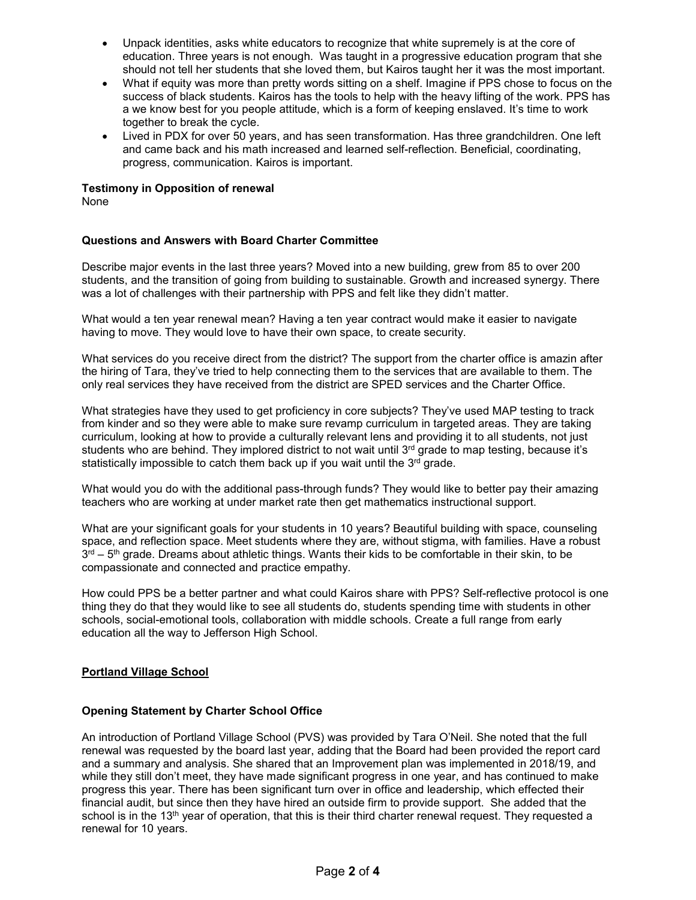- Unpack identities, asks white educators to recognize that white supremely is at the core of education. Three years is not enough. Was taught in a progressive education program that she should not tell her students that she loved them, but Kairos taught her it was the most important.
- What if equity was more than pretty words sitting on a shelf. Imagine if PPS chose to focus on the success of black students. Kairos has the tools to help with the heavy lifting of the work. PPS has a we know best for you people attitude, which is a form of keeping enslaved. It's time to work together to break the cycle.
- Lived in PDX for over 50 years, and has seen transformation. Has three grandchildren. One left and came back and his math increased and learned self-reflection. Beneficial, coordinating, progress, communication. Kairos is important.

# **Testimony in Opposition of renewal**

None

## **Questions and Answers with Board Charter Committee**

Describe major events in the last three years? Moved into a new building, grew from 85 to over 200 students, and the transition of going from building to sustainable. Growth and increased synergy. There was a lot of challenges with their partnership with PPS and felt like they didn't matter.

What would a ten year renewal mean? Having a ten year contract would make it easier to navigate having to move. They would love to have their own space, to create security.

What services do you receive direct from the district? The support from the charter office is amazin after the hiring of Tara, they've tried to help connecting them to the services that are available to them. The only real services they have received from the district are SPED services and the Charter Office.

What strategies have they used to get proficiency in core subjects? They've used MAP testing to track from kinder and so they were able to make sure revamp curriculum in targeted areas. They are taking curriculum, looking at how to provide a culturally relevant lens and providing it to all students, not just students who are behind. They implored district to not wait until  $3<sup>rd</sup>$  grade to map testing, because it's statistically impossible to catch them back up if you wait until the  $3<sup>rd</sup>$  grade.

What would you do with the additional pass-through funds? They would like to better pay their amazing teachers who are working at under market rate then get mathematics instructional support.

What are your significant goals for your students in 10 years? Beautiful building with space, counseling space, and reflection space. Meet students where they are, without stigma, with families. Have a robust  $3<sup>rd</sup> - 5<sup>th</sup>$  grade. Dreams about athletic things. Wants their kids to be comfortable in their skin, to be compassionate and connected and practice empathy.

How could PPS be a better partner and what could Kairos share with PPS? Self-reflective protocol is one thing they do that they would like to see all students do, students spending time with students in other schools, social-emotional tools, collaboration with middle schools. Create a full range from early education all the way to Jefferson High School.

## **Portland Village School**

## **Opening Statement by Charter School Office**

An introduction of Portland Village School (PVS) was provided by Tara O'Neil. She noted that the full renewal was requested by the board last year, adding that the Board had been provided the report card and a summary and analysis. She shared that an Improvement plan was implemented in 2018/19, and while they still don't meet, they have made significant progress in one year, and has continued to make progress this year. There has been significant turn over in office and leadership, which effected their financial audit, but since then they have hired an outside firm to provide support. She added that the school is in the 13<sup>th</sup> year of operation, that this is their third charter renewal request. They requested a renewal for 10 years.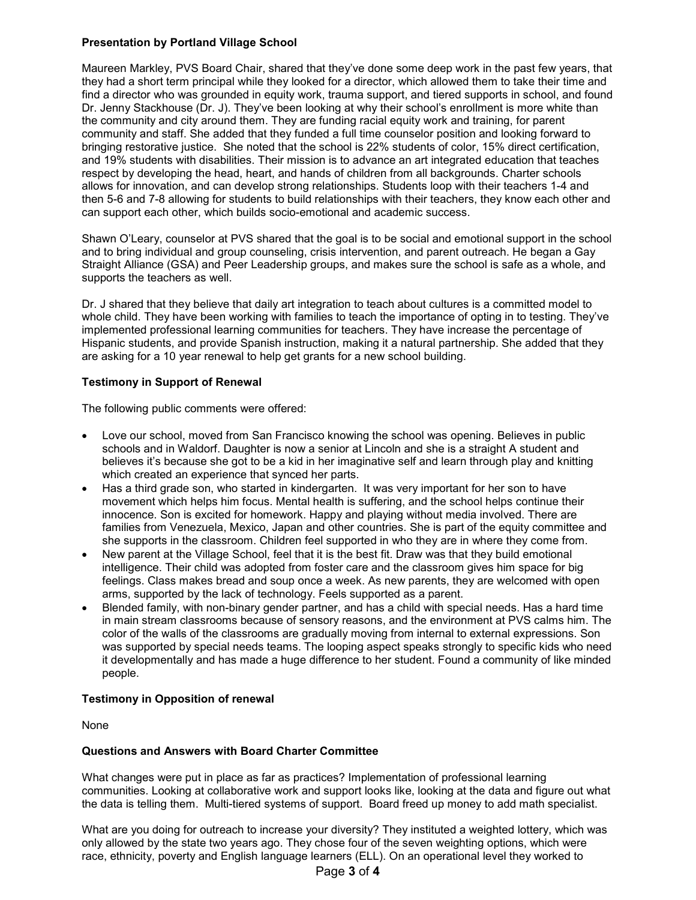## **Presentation by Portland Village School**

Maureen Markley, PVS Board Chair, shared that they've done some deep work in the past few years, that they had a short term principal while they looked for a director, which allowed them to take their time and find a director who was grounded in equity work, trauma support, and tiered supports in school, and found Dr. Jenny Stackhouse (Dr. J). They've been looking at why their school's enrollment is more white than the community and city around them. They are funding racial equity work and training, for parent community and staff. She added that they funded a full time counselor position and looking forward to bringing restorative justice. She noted that the school is 22% students of color, 15% direct certification, and 19% students with disabilities. Their mission is to advance an art integrated education that teaches respect by developing the head, heart, and hands of children from all backgrounds. Charter schools allows for innovation, and can develop strong relationships. Students loop with their teachers 1-4 and then 5-6 and 7-8 allowing for students to build relationships with their teachers, they know each other and can support each other, which builds socio-emotional and academic success.

Shawn O'Leary, counselor at PVS shared that the goal is to be social and emotional support in the school and to bring individual and group counseling, crisis intervention, and parent outreach. He began a Gay Straight Alliance (GSA) and Peer Leadership groups, and makes sure the school is safe as a whole, and supports the teachers as well.

Dr. J shared that they believe that daily art integration to teach about cultures is a committed model to whole child. They have been working with families to teach the importance of opting in to testing. They've implemented professional learning communities for teachers. They have increase the percentage of Hispanic students, and provide Spanish instruction, making it a natural partnership. She added that they are asking for a 10 year renewal to help get grants for a new school building.

#### **Testimony in Support of Renewal**

The following public comments were offered:

- Love our school, moved from San Francisco knowing the school was opening. Believes in public schools and in Waldorf. Daughter is now a senior at Lincoln and she is a straight A student and believes it's because she got to be a kid in her imaginative self and learn through play and knitting which created an experience that synced her parts.
- Has a third grade son, who started in kindergarten. It was very important for her son to have movement which helps him focus. Mental health is suffering, and the school helps continue their innocence. Son is excited for homework. Happy and playing without media involved. There are families from Venezuela, Mexico, Japan and other countries. She is part of the equity committee and she supports in the classroom. Children feel supported in who they are in where they come from.
- New parent at the Village School, feel that it is the best fit. Draw was that they build emotional intelligence. Their child was adopted from foster care and the classroom gives him space for big feelings. Class makes bread and soup once a week. As new parents, they are welcomed with open arms, supported by the lack of technology. Feels supported as a parent.
- Blended family, with non-binary gender partner, and has a child with special needs. Has a hard time in main stream classrooms because of sensory reasons, and the environment at PVS calms him. The color of the walls of the classrooms are gradually moving from internal to external expressions. Son was supported by special needs teams. The looping aspect speaks strongly to specific kids who need it developmentally and has made a huge difference to her student. Found a community of like minded people.

#### **Testimony in Opposition of renewal**

None

#### **Questions and Answers with Board Charter Committee**

What changes were put in place as far as practices? Implementation of professional learning communities. Looking at collaborative work and support looks like, looking at the data and figure out what the data is telling them. Multi-tiered systems of support. Board freed up money to add math specialist.

What are you doing for outreach to increase your diversity? They instituted a weighted lottery, which was only allowed by the state two years ago. They chose four of the seven weighting options, which were race, ethnicity, poverty and English language learners (ELL). On an operational level they worked to